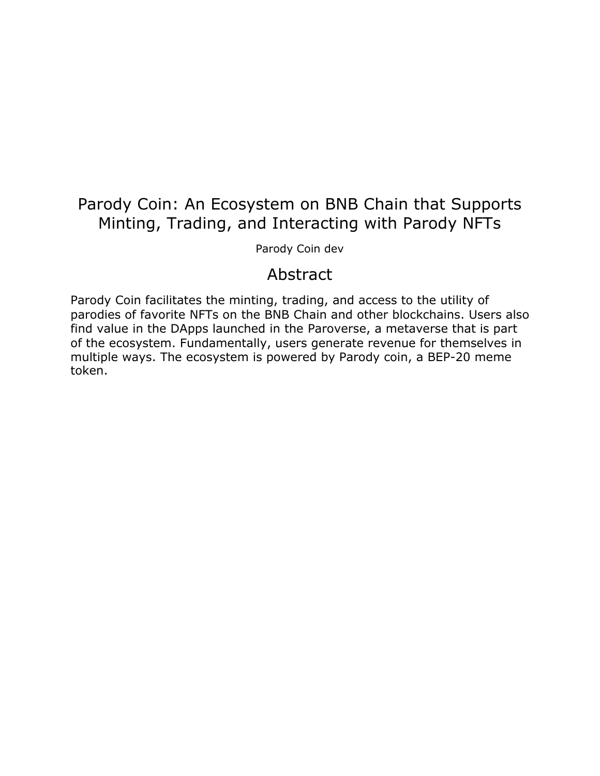# Parody Coin: An Ecosystem on BNB Chain that Supports Minting, Trading, and Interacting with Parody NFTs

Parody Coin dev

### Abstract

Parody Coin facilitates the minting, trading, and access to the utility of parodies of favorite NFTs on the BNB Chain and other blockchains. Users also find value in the DApps launched in the Paroverse, a metaverse that is part of the ecosystem. Fundamentally, users generate revenue for themselves in multiple ways. The ecosystem is powered by Parody coin, a BEP-20 meme token.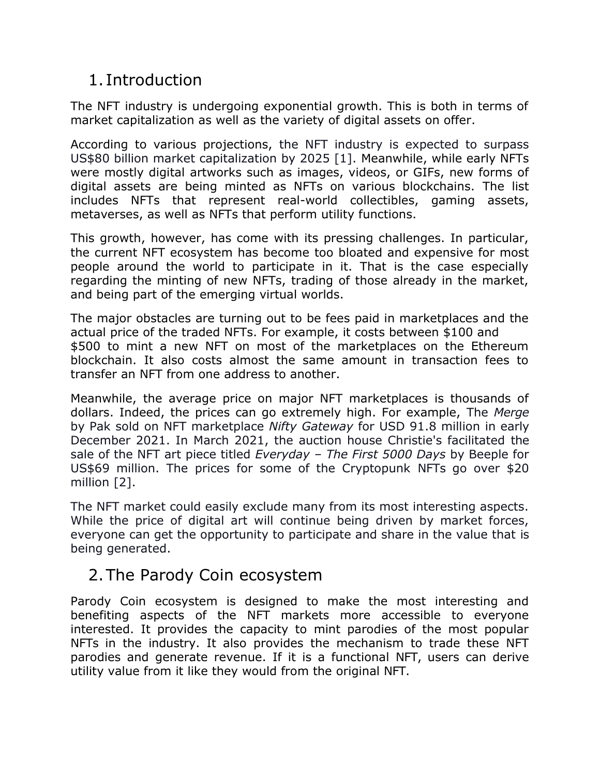# 1. Introduction

The NFT industry is undergoing exponential growth. This is both in terms of market capitalization as well as the variety of digital assets on offer.

According to various projections, the NFT industry is expected to surpass US\$80 billion market capitalization by 2025 [1]. Meanwhile, while early NFTs were mostly digital artworks such as images, videos, or GIFs, new forms of digital assets are being minted as NFTs on various blockchains. The list includes NFTs that represent real-world collectibles, gaming assets, metaverses, as well as NFTs that perform utility functions.

This growth, however, has come with its pressing challenges. In particular, the current NFT ecosystem has become too bloated and expensive for most people around the world to participate in it. That is the case especially regarding the minting of new NFTs, trading of those already in the market, and being part of the emerging virtual worlds.

The major obstacles are turning out to be fees paid in marketplaces and the actual price of the traded NFTs. For example, it costs between \$100 and \$500 to mint a new NFT on most of the marketplaces on the Ethereum blockchain. It also costs almost the same amount in transaction fees to transfer an NFT from one address to another.

Meanwhile, the average price on major NFT marketplaces is thousands of dollars. Indeed, the prices can go extremely high. For example, The *Merge*  by Pak sold on NFT marketplace *Nifty Gateway* for USD 91.8 million in early December 2021. In March 2021, the auction house Christie's facilitated the sale of the NFT art piece titled *Everyday – The First 5000 Days* by Beeple for US\$69 million. The prices for some of the Cryptopunk NFTs go over \$20 million [2].

The NFT market could easily exclude many from its most interesting aspects. While the price of digital art will continue being driven by market forces, everyone can get the opportunity to participate and share in the value that is being generated.

# 2.The Parody Coin ecosystem

Parody Coin ecosystem is designed to make the most interesting and benefiting aspects of the NFT markets more accessible to everyone interested. It provides the capacity to mint parodies of the most popular NFTs in the industry. It also provides the mechanism to trade these NFT parodies and generate revenue. If it is a functional NFT, users can derive utility value from it like they would from the original NFT.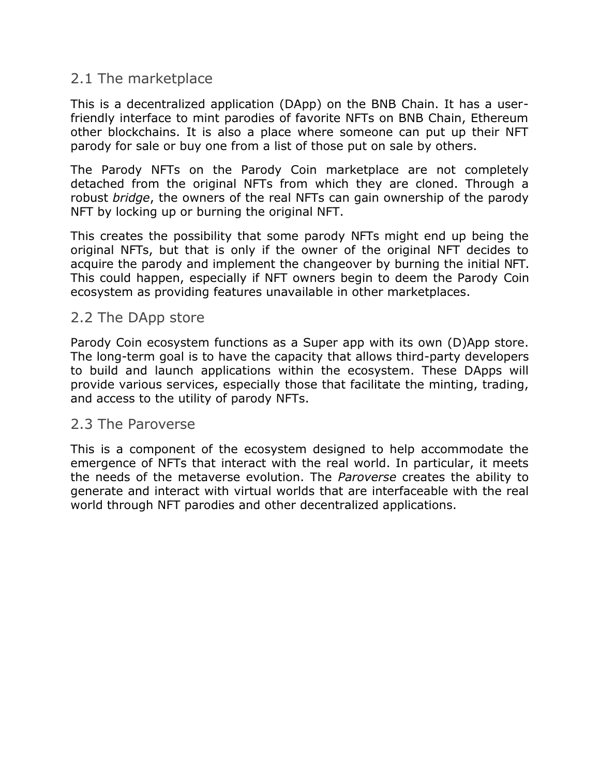#### 2.1 The marketplace

This is a decentralized application (DApp) on the BNB Chain. It has a userfriendly interface to mint parodies of favorite NFTs on BNB Chain, Ethereum other blockchains. It is also a place where someone can put up their NFT parody for sale or buy one from a list of those put on sale by others.

The Parody NFTs on the Parody Coin marketplace are not completely detached from the original NFTs from which they are cloned. Through a robust *bridge*, the owners of the real NFTs can gain ownership of the parody NFT by locking up or burning the original NFT.

This creates the possibility that some parody NFTs might end up being the original NFTs, but that is only if the owner of the original NFT decides to acquire the parody and implement the changeover by burning the initial NFT. This could happen, especially if NFT owners begin to deem the Parody Coin ecosystem as providing features unavailable in other marketplaces.

#### 2.2 The DApp store

Parody Coin ecosystem functions as a Super app with its own (D)App store. The long-term goal is to have the capacity that allows third-party developers to build and launch applications within the ecosystem. These DApps will provide various services, especially those that facilitate the minting, trading, and access to the utility of parody NFTs.

#### 2.3 The Paroverse

This is a component of the ecosystem designed to help accommodate the emergence of NFTs that interact with the real world. In particular, it meets the needs of the metaverse evolution. The *Paroverse* creates the ability to generate and interact with virtual worlds that are interfaceable with the real world through NFT parodies and other decentralized applications.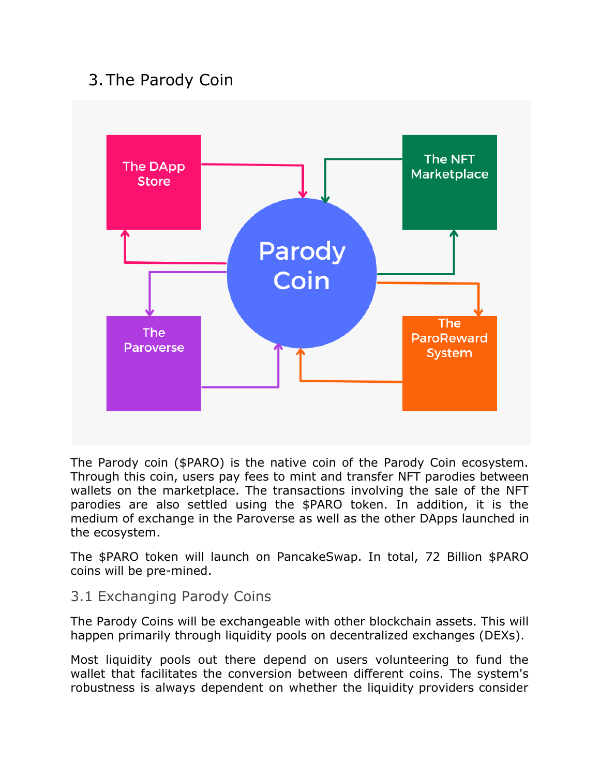# 3.The Parody Coin



The Parody coin (\$PARO) is the native coin of the Parody Coin ecosystem. Through this coin, users pay fees to mint and transfer NFT parodies between wallets on the marketplace. The transactions involving the sale of the NFT parodies are also settled using the \$PARO token. In addition, it is the medium of exchange in the Paroverse as well as the other DApps launched in the ecosystem.

The \$PARO token will launch on PancakeSwap. In total, 72 Billion \$PARO coins will be pre-mined.

#### 3.1 Exchanging Parody Coins

The Parody Coins will be exchangeable with other blockchain assets. This will happen primarily through liquidity pools on decentralized exchanges (DEXs).

Most liquidity pools out there depend on users volunteering to fund the wallet that facilitates the conversion between different coins. The system's robustness is always dependent on whether the liquidity providers consider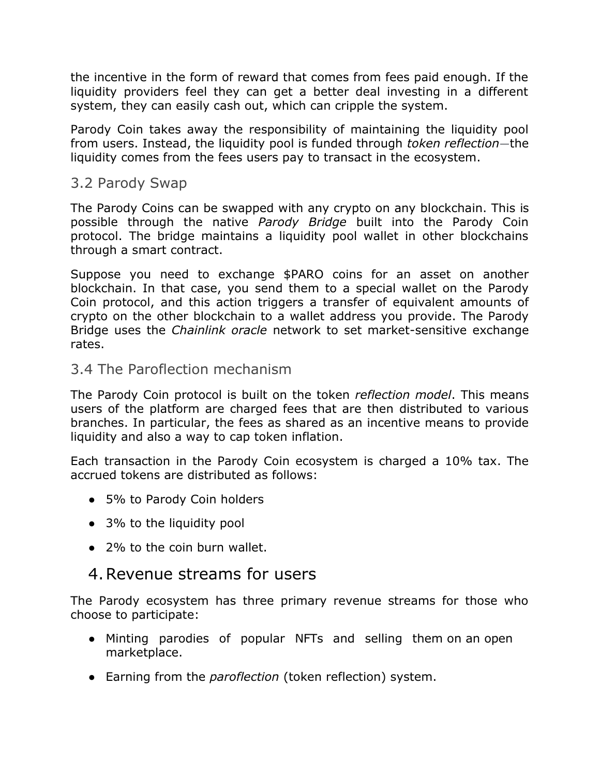the incentive in the form of reward that comes from fees paid enough. If the liquidity providers feel they can get a better deal investing in a different system, they can easily cash out, which can cripple the system.

Parody Coin takes away the responsibility of maintaining the liquidity pool from users. Instead, the liquidity pool is funded through *token reflection*—the liquidity comes from the fees users pay to transact in the ecosystem.

#### 3.2 Parody Swap

The Parody Coins can be swapped with any crypto on any blockchain. This is possible through the native *Parody Bridge* built into the Parody Coin protocol. The bridge maintains a liquidity pool wallet in other blockchains through a smart contract.

Suppose you need to exchange \$PARO coins for an asset on another blockchain. In that case, you send them to a special wallet on the Parody Coin protocol, and this action triggers a transfer of equivalent amounts of crypto on the other blockchain to a wallet address you provide. The Parody Bridge uses the *Chainlink oracle* network to set market-sensitive exchange rates.

#### 3.4 The Paroflection mechanism

The Parody Coin protocol is built on the token *reflection model*. This means users of the platform are charged fees that are then distributed to various branches. In particular, the fees as shared as an incentive means to provide liquidity and also a way to cap token inflation.

Each transaction in the Parody Coin ecosystem is charged a 10% tax. The accrued tokens are distributed as follows:

- 5% to Parody Coin holders
- 3% to the liquidity pool
- 2% to the coin burn wallet.

## 4.Revenue streams for users

The Parody ecosystem has three primary revenue streams for those who choose to participate:

- Minting parodies of popular NFTs and selling them on an open marketplace.
- Earning from the *paroflection* (token reflection) system.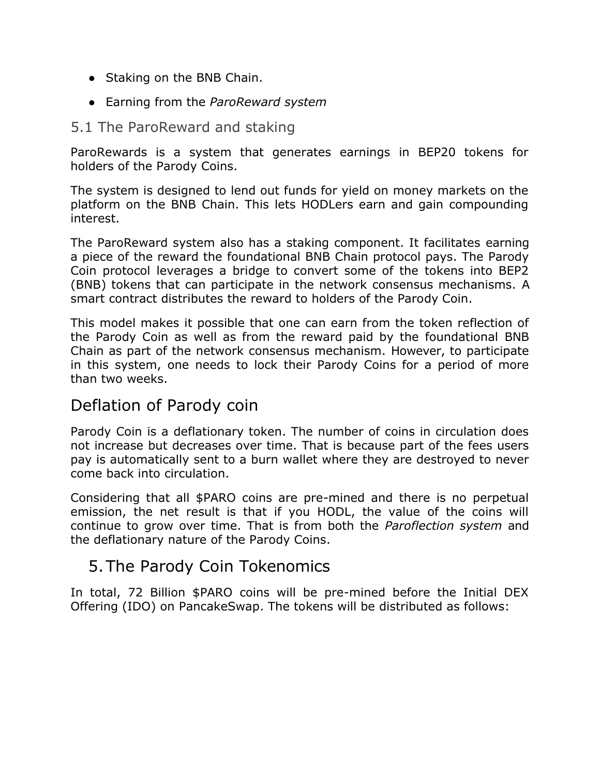- Staking on the BNB Chain.
- Earning from the *ParoReward system*

#### 5.1 The ParoReward and staking

ParoRewards is a system that generates earnings in BEP20 tokens for holders of the Parody Coins.

The system is designed to lend out funds for yield on money markets on the platform on the BNB Chain. This lets HODLers earn and gain compounding interest.

The ParoReward system also has a staking component. It facilitates earning a piece of the reward the foundational BNB Chain protocol pays. The Parody Coin protocol leverages a bridge to convert some of the tokens into BEP2 (BNB) tokens that can participate in the network consensus mechanisms. A smart contract distributes the reward to holders of the Parody Coin.

This model makes it possible that one can earn from the token reflection of the Parody Coin as well as from the reward paid by the foundational BNB Chain as part of the network consensus mechanism. However, to participate in this system, one needs to lock their Parody Coins for a period of more than two weeks.

## Deflation of Parody coin

Parody Coin is a deflationary token. The number of coins in circulation does not increase but decreases over time. That is because part of the fees users pay is automatically sent to a burn wallet where they are destroyed to never come back into circulation.

Considering that all \$PARO coins are pre-mined and there is no perpetual emission, the net result is that if you HODL, the value of the coins will continue to grow over time. That is from both the *Paroflection system* and the deflationary nature of the Parody Coins.

## 5.The Parody Coin Tokenomics

In total, 72 Billion \$PARO coins will be pre-mined before the Initial DEX Offering (IDO) on PancakeSwap. The tokens will be distributed as follows: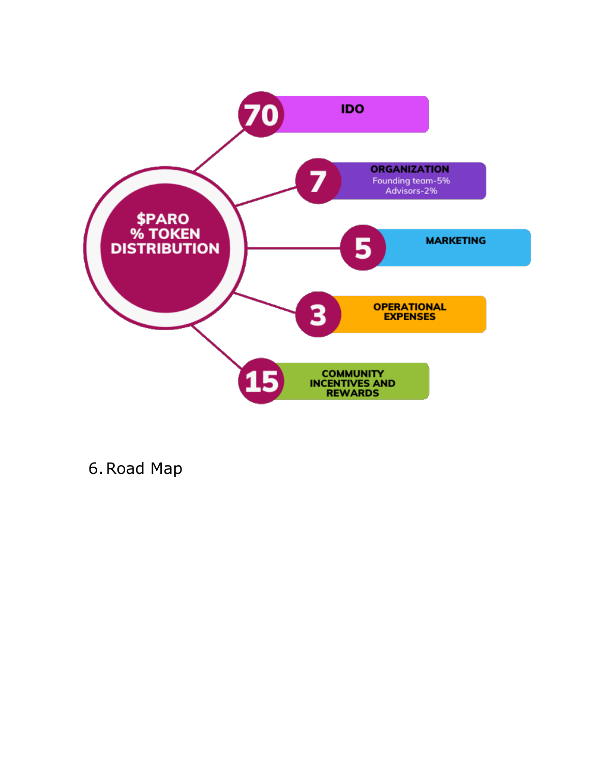

6.Road Map